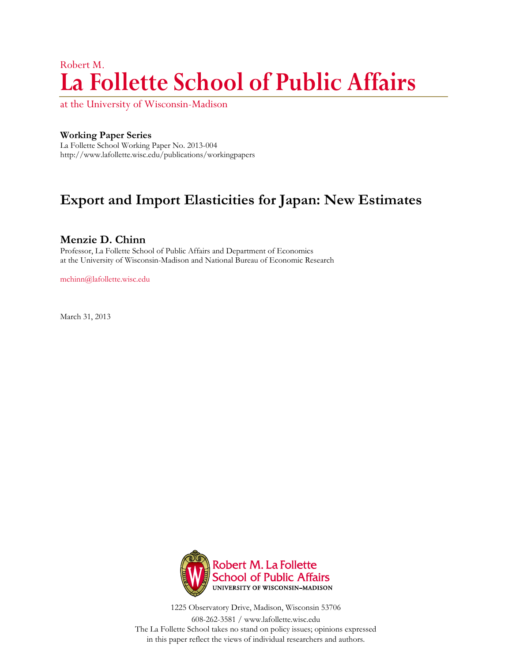# Robert M. **La Follette School of Public Affairs**

at the University of Wisconsin-Madison

#### **Working Paper Series**

La Follette School Working Paper No. 2013-004 http://www.lafollette.wisc.edu/publications/workingpapers

## **Export and Import Elasticities for Japan: New Estimates**

#### **Menzie D. Chinn**

Professor, La Follette School of Public Affairs and Department of Economics at the University of Wisconsin-Madison and National Bureau of Economic Research

mchinn@lafollette.wisc.edu

March 31, 2013



1225 Observatory Drive, Madison, Wisconsin 53706

608-262-3581 / www.lafollette.wisc.edu The La Follette School takes no stand on policy issues; opinions expressed in this paper reflect the views of individual researchers and authors.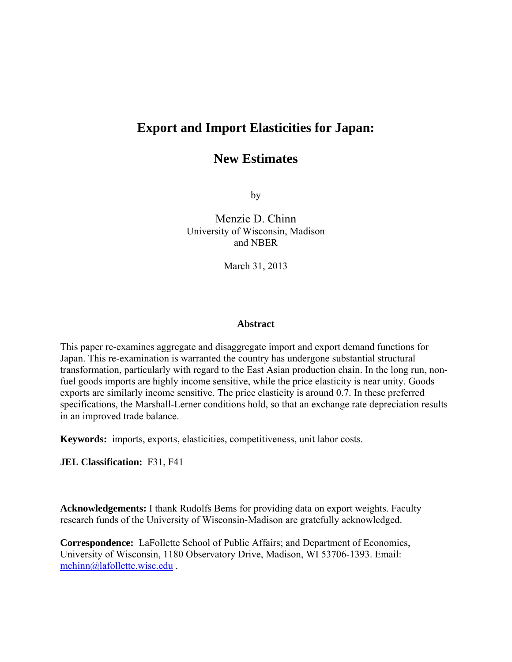## **Export and Import Elasticities for Japan:**

### **New Estimates**

by

Menzie D. Chinn University of Wisconsin, Madison and NBER

March 31, 2013

#### **Abstract**

This paper re-examines aggregate and disaggregate import and export demand functions for Japan. This re-examination is warranted the country has undergone substantial structural transformation, particularly with regard to the East Asian production chain. In the long run, nonfuel goods imports are highly income sensitive, while the price elasticity is near unity. Goods exports are similarly income sensitive. The price elasticity is around 0.7. In these preferred specifications, the Marshall-Lerner conditions hold, so that an exchange rate depreciation results in an improved trade balance.

**Keywords:** imports, exports, elasticities, competitiveness, unit labor costs.

**JEL Classification:** F31, F41

**Acknowledgements:** I thank Rudolfs Bems for providing data on export weights. Faculty research funds of the University of Wisconsin-Madison are gratefully acknowledged.

**Correspondence:** LaFollette School of Public Affairs; and Department of Economics, University of Wisconsin, 1180 Observatory Drive, Madison, WI 53706-1393. Email: mchinn@lafollette.wisc.edu .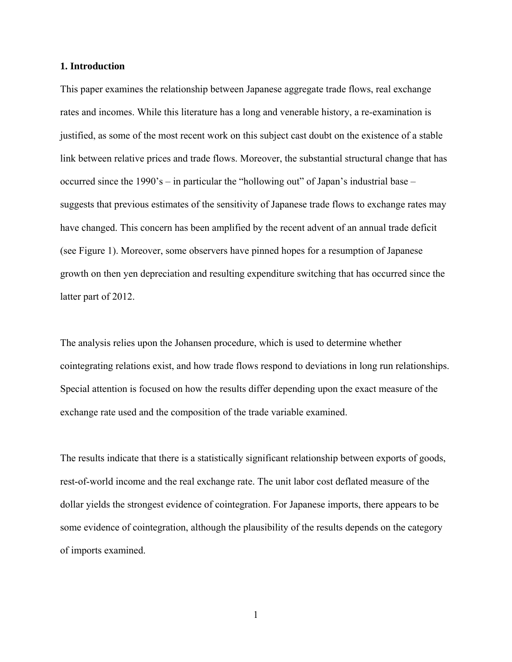#### **1. Introduction**

This paper examines the relationship between Japanese aggregate trade flows, real exchange rates and incomes. While this literature has a long and venerable history, a re-examination is justified, as some of the most recent work on this subject cast doubt on the existence of a stable link between relative prices and trade flows. Moreover, the substantial structural change that has occurred since the 1990's – in particular the "hollowing out" of Japan's industrial base – suggests that previous estimates of the sensitivity of Japanese trade flows to exchange rates may have changed. This concern has been amplified by the recent advent of an annual trade deficit (see Figure 1). Moreover, some observers have pinned hopes for a resumption of Japanese growth on then yen depreciation and resulting expenditure switching that has occurred since the latter part of 2012.

The analysis relies upon the Johansen procedure, which is used to determine whether cointegrating relations exist, and how trade flows respond to deviations in long run relationships. Special attention is focused on how the results differ depending upon the exact measure of the exchange rate used and the composition of the trade variable examined.

The results indicate that there is a statistically significant relationship between exports of goods, rest-of-world income and the real exchange rate. The unit labor cost deflated measure of the dollar yields the strongest evidence of cointegration. For Japanese imports, there appears to be some evidence of cointegration, although the plausibility of the results depends on the category of imports examined.

1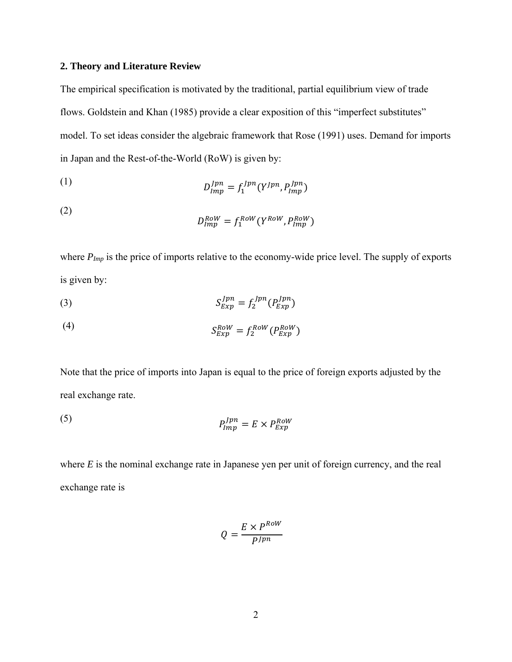#### **2. Theory and Literature Review**

The empirical specification is motivated by the traditional, partial equilibrium view of trade flows. Goldstein and Khan (1985) provide a clear exposition of this "imperfect substitutes" model. To set ideas consider the algebraic framework that Rose (1991) uses. Demand for imports in Japan and the Rest-of-the-World (RoW) is given by:

(1) 
$$
D_{Imp}^{Jpn} = f_1^{Jpn} (Y^{Jpn}, P_{Imp}^{Jpn})
$$

(2) 
$$
D_{Imp}^{Row} = f_1^{Row}(Y^{Row}, P_{Imp}^{Row})
$$

where  $P_{Imp}$  is the price of imports relative to the economy-wide price level. The supply of exports is given by:

$$
(3) \tS_{Exp}^{Jpn} = f_2^{Jpn}(P_{Exp}^{Jpn})
$$

$$
(4) \tS_{Exp}^{Row} = f_2^{Row}(P_{Exp}^{Row})
$$

Note that the price of imports into Japan is equal to the price of foreign exports adjusted by the real exchange rate.

(5) 
$$
P_{Imp}^{Jpn} = E \times P_{Exp}^{Row}
$$

where *E* is the nominal exchange rate in Japanese yen per unit of foreign currency, and the real exchange rate is

$$
Q = \frac{E \times P^{Row}}{P^{Jpn}}
$$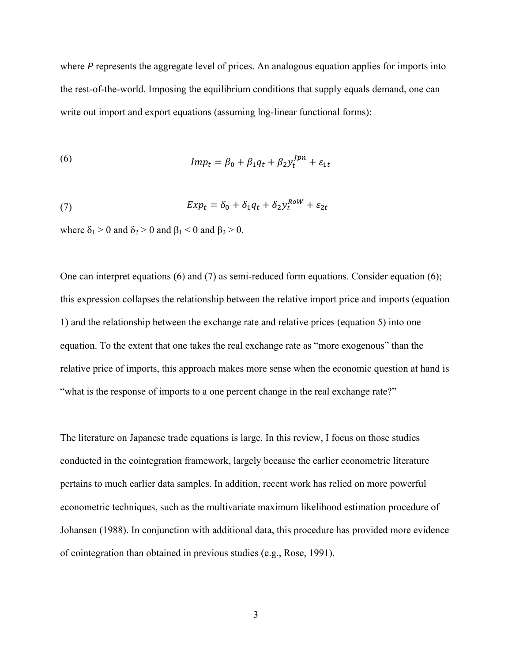where *P* represents the aggregate level of prices. An analogous equation applies for imports into the rest-of-the-world. Imposing the equilibrium conditions that supply equals demand, one can write out import and export equations (assuming log-linear functional forms):

(6) 
$$
Imp_t = \beta_0 + \beta_1 q_t + \beta_2 y_t^{Jpn} + \varepsilon_{1t}
$$

(7) 
$$
Exp_t = \delta_0 + \delta_1 q_t + \delta_2 y_t^{Row} + \varepsilon_{2t}
$$

where  $\delta_1 > 0$  and  $\delta_2 > 0$  and  $\beta_1 < 0$  and  $\beta_2 > 0$ .

One can interpret equations (6) and (7) as semi-reduced form equations. Consider equation (6); this expression collapses the relationship between the relative import price and imports (equation 1) and the relationship between the exchange rate and relative prices (equation 5) into one equation. To the extent that one takes the real exchange rate as "more exogenous" than the relative price of imports, this approach makes more sense when the economic question at hand is "what is the response of imports to a one percent change in the real exchange rate?"

The literature on Japanese trade equations is large. In this review, I focus on those studies conducted in the cointegration framework, largely because the earlier econometric literature pertains to much earlier data samples. In addition, recent work has relied on more powerful econometric techniques, such as the multivariate maximum likelihood estimation procedure of Johansen (1988). In conjunction with additional data, this procedure has provided more evidence of cointegration than obtained in previous studies (e.g., Rose, 1991).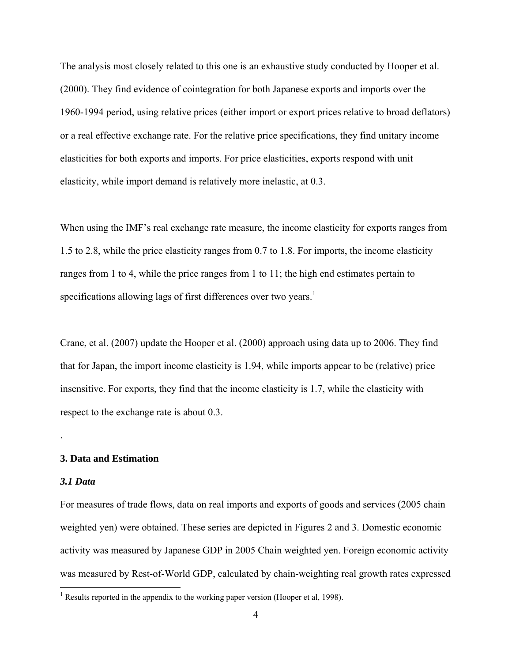The analysis most closely related to this one is an exhaustive study conducted by Hooper et al. (2000). They find evidence of cointegration for both Japanese exports and imports over the 1960-1994 period, using relative prices (either import or export prices relative to broad deflators) or a real effective exchange rate. For the relative price specifications, they find unitary income elasticities for both exports and imports. For price elasticities, exports respond with unit elasticity, while import demand is relatively more inelastic, at 0.3.

When using the IMF's real exchange rate measure, the income elasticity for exports ranges from 1.5 to 2.8, while the price elasticity ranges from 0.7 to 1.8. For imports, the income elasticity ranges from 1 to 4, while the price ranges from 1 to 11; the high end estimates pertain to specifications allowing lags of first differences over two years.<sup>1</sup>

Crane, et al. (2007) update the Hooper et al. (2000) approach using data up to 2006. They find that for Japan, the import income elasticity is 1.94, while imports appear to be (relative) price insensitive. For exports, they find that the income elasticity is 1.7, while the elasticity with respect to the exchange rate is about 0.3.

#### **3. Data and Estimation**

#### *3.1 Data*

.

For measures of trade flows, data on real imports and exports of goods and services (2005 chain weighted yen) were obtained. These series are depicted in Figures 2 and 3. Domestic economic activity was measured by Japanese GDP in 2005 Chain weighted yen. Foreign economic activity was measured by Rest-of-World GDP, calculated by chain-weighting real growth rates expressed

<sup>&</sup>lt;sup>1</sup> Results reported in the appendix to the working paper version (Hooper et al, 1998).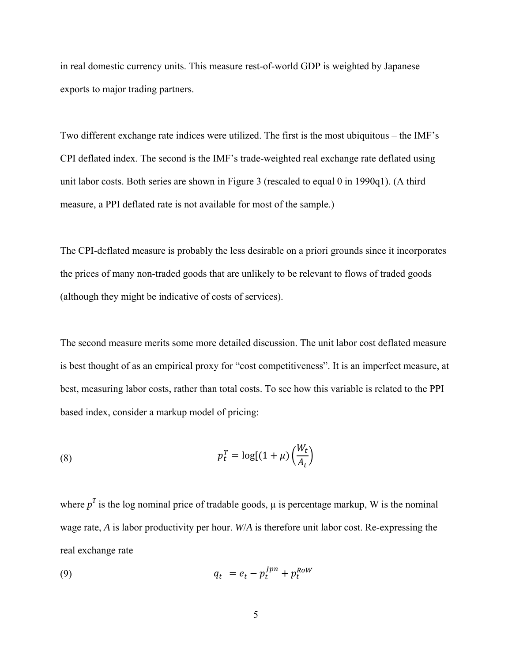in real domestic currency units. This measure rest-of-world GDP is weighted by Japanese exports to major trading partners.

Two different exchange rate indices were utilized. The first is the most ubiquitous – the IMF's CPI deflated index. The second is the IMF's trade-weighted real exchange rate deflated using unit labor costs. Both series are shown in Figure 3 (rescaled to equal 0 in 1990q1). (A third measure, a PPI deflated rate is not available for most of the sample.)

The CPI-deflated measure is probably the less desirable on a priori grounds since it incorporates the prices of many non-traded goods that are unlikely to be relevant to flows of traded goods (although they might be indicative of costs of services).

The second measure merits some more detailed discussion. The unit labor cost deflated measure is best thought of as an empirical proxy for "cost competitiveness". It is an imperfect measure, at best, measuring labor costs, rather than total costs. To see how this variable is related to the PPI based index, consider a markup model of pricing:

(8) 
$$
p_t^T = \log[(1 + \mu) \left(\frac{W_t}{A_t}\right)]
$$

where  $p<sup>T</sup>$  is the log nominal price of tradable goods,  $\mu$  is percentage markup, W is the nominal wage rate, *A* is labor productivity per hour. *W*/*A* is therefore unit labor cost. Re-expressing the real exchange rate

$$
q_t = e_t - p_t^{Jpn} + p_t^{Row}
$$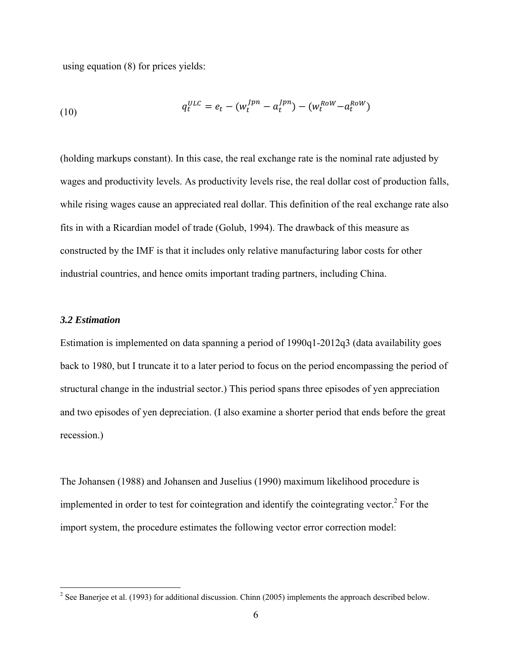using equation (8) for prices yields:

(10) 
$$
q_t^{ULC} = e_t - (w_t^{Jpn} - a_t^{Jpn}) - (w_t^{Row} - a_t^{Row})
$$

(holding markups constant). In this case, the real exchange rate is the nominal rate adjusted by wages and productivity levels. As productivity levels rise, the real dollar cost of production falls, while rising wages cause an appreciated real dollar. This definition of the real exchange rate also fits in with a Ricardian model of trade (Golub, 1994). The drawback of this measure as constructed by the IMF is that it includes only relative manufacturing labor costs for other industrial countries, and hence omits important trading partners, including China.

#### *3.2 Estimation*

 $\overline{a}$ 

Estimation is implemented on data spanning a period of 1990q1-2012q3 (data availability goes back to 1980, but I truncate it to a later period to focus on the period encompassing the period of structural change in the industrial sector.) This period spans three episodes of yen appreciation and two episodes of yen depreciation. (I also examine a shorter period that ends before the great recession.)

The Johansen (1988) and Johansen and Juselius (1990) maximum likelihood procedure is implemented in order to test for cointegration and identify the cointegrating vector. $2$  For the import system, the procedure estimates the following vector error correction model:

<sup>&</sup>lt;sup>2</sup> See Banerjee et al. (1993) for additional discussion. Chinn (2005) implements the approach described below.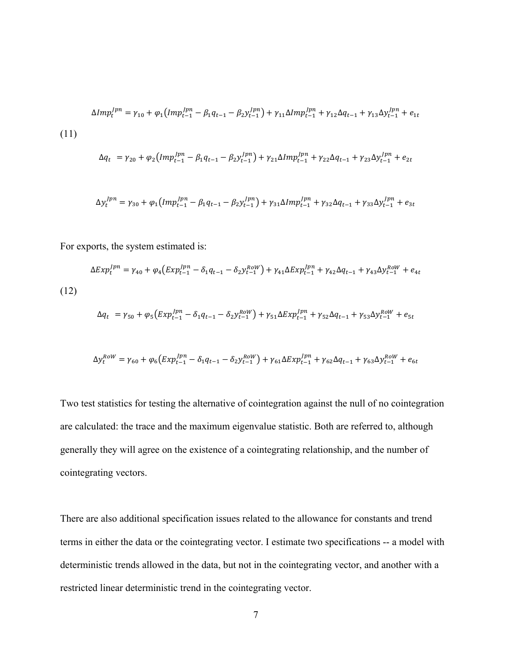$$
\Delta Imp_t^{Jpn} = \gamma_{10} + \varphi_1 \left( Imp_{t-1}^{Jpn} - \beta_1 q_{t-1} - \beta_2 y_{t-1}^{Jpn} \right) + \gamma_{11} \Delta Imp_{t-1}^{Jpn} + \gamma_{12} \Delta q_{t-1} + \gamma_{13} \Delta y_{t-1}^{Jpn} + e_{1t}
$$
\n
$$
(11)
$$
\n
$$
\Delta q_t = \gamma_{20} + \varphi_2 \left( Imp_{t-1}^{Jpn} - \beta_1 q_{t-1} - \beta_2 y_{t-1}^{Jpn} \right) + \gamma_{21} \Delta Imp_{t-1}^{Jpn} + \gamma_{22} \Delta q_{t-1} + \gamma_{23} \Delta y_{t-1}^{Jpn} + e_{2t}
$$

$$
\Delta y_t^{Jpn} = \gamma_{30} + \varphi_1 \left( Imp_{t-1}^{Jpn} - \beta_1 q_{t-1} - \beta_2 y_{t-1}^{Jpn} \right) + \gamma_{31} \Delta Imp_{t-1}^{Jpn} + \gamma_{32} \Delta q_{t-1} + \gamma_{33} \Delta y_{t-1}^{Jpn} + e_{3t}
$$

For exports, the system estimated is:

$$
\Delta Exp_t^{Jpn} = \gamma_{40} + \varphi_4 \left( Exp_{t-1}^{Jpn} - \delta_1 q_{t-1} - \delta_2 y_{t-1}^{Row} \right) + \gamma_{41} \Delta Exp_{t-1}^{Jpn} + \gamma_{42} \Delta q_{t-1} + \gamma_{43} \Delta y_{t-1}^{Row} + e_{4t}
$$
\n(12)

$$
\Delta q_t = \gamma_{50} + \varphi_5 \left( Exp_{t-1}^{Jpn} - \delta_1 q_{t-1} - \delta_2 y_{t-1}^{Row} \right) + \gamma_{51} \Delta Exp_{t-1}^{Jpn} + \gamma_{52} \Delta q_{t-1} + \gamma_{53} \Delta y_{t-1}^{Row} + e_{5t}
$$

$$
\Delta y_t^{Row} = \gamma_{60} + \varphi_6 \left( Exp_{t-1}^{Jpn} - \delta_1 q_{t-1} - \delta_2 y_{t-1}^{Row} \right) + \gamma_{61} \Delta Exp_{t-1}^{Jpn} + \gamma_{62} \Delta q_{t-1} + \gamma_{63} \Delta y_{t-1}^{Row} + e_{6t}
$$

Two test statistics for testing the alternative of cointegration against the null of no cointegration are calculated: the trace and the maximum eigenvalue statistic. Both are referred to, although generally they will agree on the existence of a cointegrating relationship, and the number of cointegrating vectors.

There are also additional specification issues related to the allowance for constants and trend terms in either the data or the cointegrating vector. I estimate two specifications -- a model with deterministic trends allowed in the data, but not in the cointegrating vector, and another with a restricted linear deterministic trend in the cointegrating vector.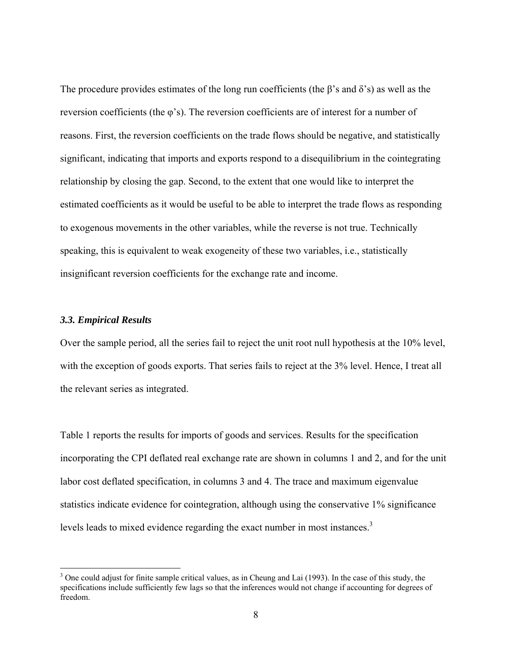The procedure provides estimates of the long run coefficients (the  $\beta$ 's and  $\delta$ 's) as well as the reversion coefficients (the φ's). The reversion coefficients are of interest for a number of reasons. First, the reversion coefficients on the trade flows should be negative, and statistically significant, indicating that imports and exports respond to a disequilibrium in the cointegrating relationship by closing the gap. Second, to the extent that one would like to interpret the estimated coefficients as it would be useful to be able to interpret the trade flows as responding to exogenous movements in the other variables, while the reverse is not true. Technically speaking, this is equivalent to weak exogeneity of these two variables, i.e., statistically insignificant reversion coefficients for the exchange rate and income.

#### *3.3. Empirical Results*

 $\overline{a}$ 

Over the sample period, all the series fail to reject the unit root null hypothesis at the 10% level, with the exception of goods exports. That series fails to reject at the 3% level. Hence, I treat all the relevant series as integrated.

Table 1 reports the results for imports of goods and services. Results for the specification incorporating the CPI deflated real exchange rate are shown in columns 1 and 2, and for the unit labor cost deflated specification, in columns 3 and 4. The trace and maximum eigenvalue statistics indicate evidence for cointegration, although using the conservative 1% significance levels leads to mixed evidence regarding the exact number in most instances.<sup>3</sup>

 $3$  One could adjust for finite sample critical values, as in Cheung and Lai (1993). In the case of this study, the specifications include sufficiently few lags so that the inferences would not change if accounting for degrees of freedom.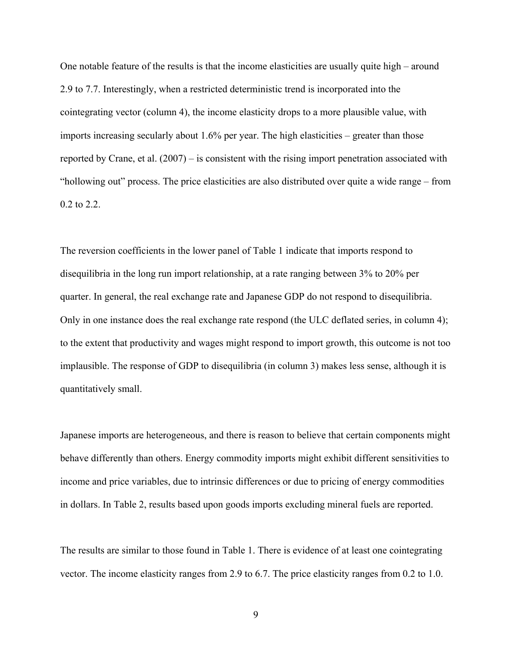One notable feature of the results is that the income elasticities are usually quite high – around 2.9 to 7.7. Interestingly, when a restricted deterministic trend is incorporated into the cointegrating vector (column 4), the income elasticity drops to a more plausible value, with imports increasing secularly about 1.6% per year. The high elasticities – greater than those reported by Crane, et al. (2007) – is consistent with the rising import penetration associated with "hollowing out" process. The price elasticities are also distributed over quite a wide range – from 0.2 to 2.2.

The reversion coefficients in the lower panel of Table 1 indicate that imports respond to disequilibria in the long run import relationship, at a rate ranging between 3% to 20% per quarter. In general, the real exchange rate and Japanese GDP do not respond to disequilibria. Only in one instance does the real exchange rate respond (the ULC deflated series, in column 4); to the extent that productivity and wages might respond to import growth, this outcome is not too implausible. The response of GDP to disequilibria (in column 3) makes less sense, although it is quantitatively small.

Japanese imports are heterogeneous, and there is reason to believe that certain components might behave differently than others. Energy commodity imports might exhibit different sensitivities to income and price variables, due to intrinsic differences or due to pricing of energy commodities in dollars. In Table 2, results based upon goods imports excluding mineral fuels are reported.

The results are similar to those found in Table 1. There is evidence of at least one cointegrating vector. The income elasticity ranges from 2.9 to 6.7. The price elasticity ranges from 0.2 to 1.0.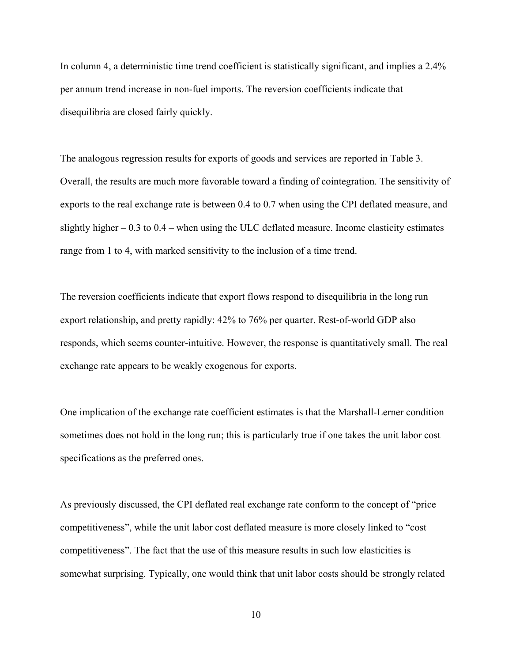In column 4, a deterministic time trend coefficient is statistically significant, and implies a 2.4% per annum trend increase in non-fuel imports. The reversion coefficients indicate that disequilibria are closed fairly quickly.

The analogous regression results for exports of goods and services are reported in Table 3. Overall, the results are much more favorable toward a finding of cointegration. The sensitivity of exports to the real exchange rate is between 0.4 to 0.7 when using the CPI deflated measure, and slightly higher  $-0.3$  to  $0.4$  – when using the ULC deflated measure. Income elasticity estimates range from 1 to 4, with marked sensitivity to the inclusion of a time trend.

The reversion coefficients indicate that export flows respond to disequilibria in the long run export relationship, and pretty rapidly: 42% to 76% per quarter. Rest-of-world GDP also responds, which seems counter-intuitive. However, the response is quantitatively small. The real exchange rate appears to be weakly exogenous for exports.

One implication of the exchange rate coefficient estimates is that the Marshall-Lerner condition sometimes does not hold in the long run; this is particularly true if one takes the unit labor cost specifications as the preferred ones.

As previously discussed, the CPI deflated real exchange rate conform to the concept of "price competitiveness", while the unit labor cost deflated measure is more closely linked to "cost competitiveness". The fact that the use of this measure results in such low elasticities is somewhat surprising. Typically, one would think that unit labor costs should be strongly related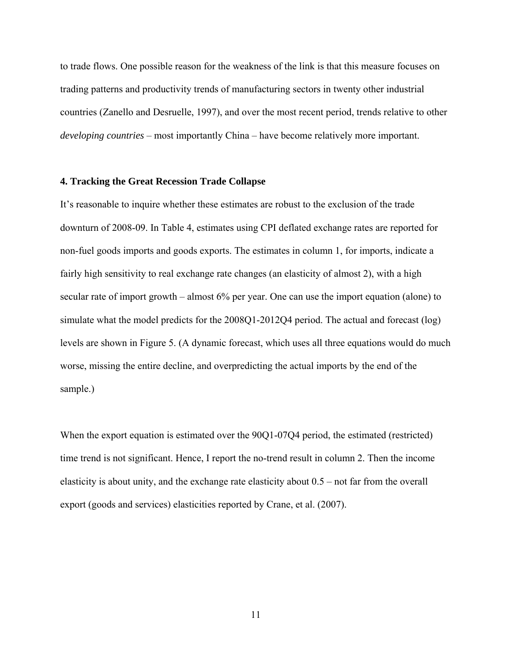to trade flows. One possible reason for the weakness of the link is that this measure focuses on trading patterns and productivity trends of manufacturing sectors in twenty other industrial countries (Zanello and Desruelle, 1997), and over the most recent period, trends relative to other *developing countries* – most importantly China – have become relatively more important.

#### **4. Tracking the Great Recession Trade Collapse**

It's reasonable to inquire whether these estimates are robust to the exclusion of the trade downturn of 2008-09. In Table 4, estimates using CPI deflated exchange rates are reported for non-fuel goods imports and goods exports. The estimates in column 1, for imports, indicate a fairly high sensitivity to real exchange rate changes (an elasticity of almost 2), with a high secular rate of import growth – almost 6% per year. One can use the import equation (alone) to simulate what the model predicts for the 2008Q1-2012Q4 period. The actual and forecast (log) levels are shown in Figure 5. (A dynamic forecast, which uses all three equations would do much worse, missing the entire decline, and overpredicting the actual imports by the end of the sample.)

When the export equation is estimated over the 90Q1-07Q4 period, the estimated (restricted) time trend is not significant. Hence, I report the no-trend result in column 2. Then the income elasticity is about unity, and the exchange rate elasticity about 0.5 – not far from the overall export (goods and services) elasticities reported by Crane, et al. (2007).

11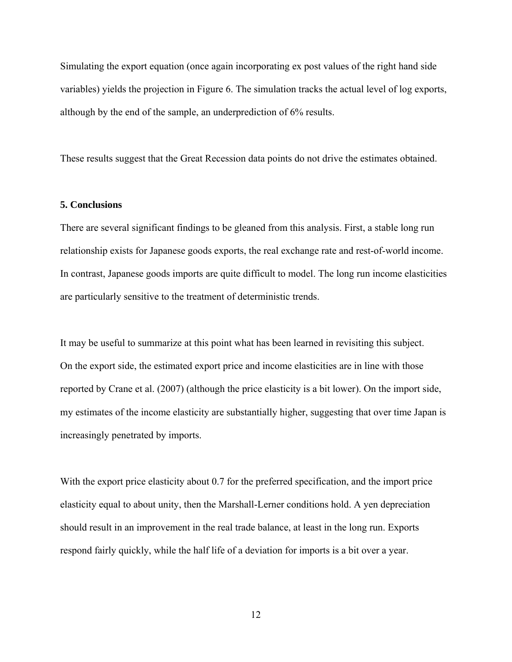Simulating the export equation (once again incorporating ex post values of the right hand side variables) yields the projection in Figure 6. The simulation tracks the actual level of log exports, although by the end of the sample, an underprediction of 6% results.

These results suggest that the Great Recession data points do not drive the estimates obtained.

#### **5. Conclusions**

There are several significant findings to be gleaned from this analysis. First, a stable long run relationship exists for Japanese goods exports, the real exchange rate and rest-of-world income. In contrast, Japanese goods imports are quite difficult to model. The long run income elasticities are particularly sensitive to the treatment of deterministic trends.

It may be useful to summarize at this point what has been learned in revisiting this subject. On the export side, the estimated export price and income elasticities are in line with those reported by Crane et al. (2007) (although the price elasticity is a bit lower). On the import side, my estimates of the income elasticity are substantially higher, suggesting that over time Japan is increasingly penetrated by imports.

With the export price elasticity about 0.7 for the preferred specification, and the import price elasticity equal to about unity, then the Marshall-Lerner conditions hold. A yen depreciation should result in an improvement in the real trade balance, at least in the long run. Exports respond fairly quickly, while the half life of a deviation for imports is a bit over a year.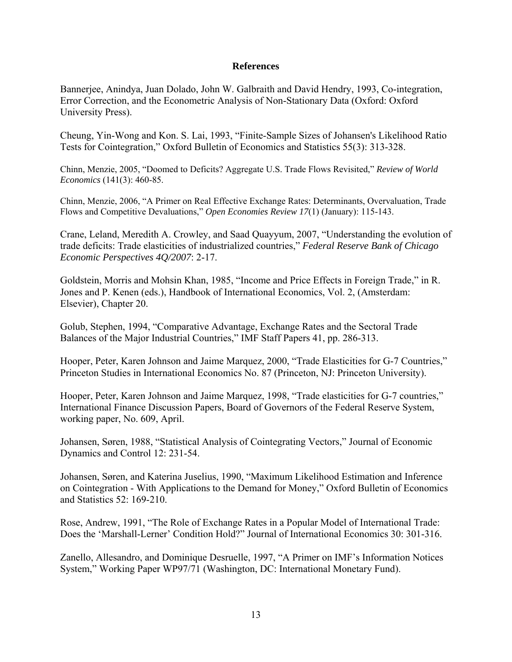#### **References**

Bannerjee, Anindya, Juan Dolado, John W. Galbraith and David Hendry, 1993, Co-integration, Error Correction, and the Econometric Analysis of Non-Stationary Data (Oxford: Oxford University Press).

Cheung, Yin-Wong and Kon. S. Lai, 1993, "Finite-Sample Sizes of Johansen's Likelihood Ratio Tests for Cointegration," Oxford Bulletin of Economics and Statistics 55(3): 313-328.

Chinn, Menzie, 2005, "Doomed to Deficits? Aggregate U.S. Trade Flows Revisited," *Review of World Economics* (141(3): 460-85.

Chinn, Menzie, 2006, "A Primer on Real Effective Exchange Rates: Determinants, Overvaluation, Trade Flows and Competitive Devaluations," *Open Economies Review 17*(1) (January): 115-143.

Crane, Leland, Meredith A. Crowley, and Saad Quayyum, 2007, "Understanding the evolution of trade deficits: Trade elasticities of industrialized countries," *Federal Reserve Bank of Chicago Economic Perspectives 4Q/2007*: 2-17.

Goldstein, Morris and Mohsin Khan, 1985, "Income and Price Effects in Foreign Trade," in R. Jones and P. Kenen (eds.), Handbook of International Economics, Vol. 2, (Amsterdam: Elsevier), Chapter 20.

Golub, Stephen, 1994, "Comparative Advantage, Exchange Rates and the Sectoral Trade Balances of the Major Industrial Countries," IMF Staff Papers 41, pp. 286-313.

Hooper, Peter, Karen Johnson and Jaime Marquez, 2000, "Trade Elasticities for G-7 Countries," Princeton Studies in International Economics No. 87 (Princeton, NJ: Princeton University).

Hooper, Peter, Karen Johnson and Jaime Marquez, 1998, "Trade elasticities for G-7 countries," International Finance Discussion Papers, Board of Governors of the Federal Reserve System, working paper, No. 609, April.

Johansen, Søren, 1988, "Statistical Analysis of Cointegrating Vectors," Journal of Economic Dynamics and Control 12: 231-54.

Johansen, Søren, and Katerina Juselius, 1990, "Maximum Likelihood Estimation and Inference on Cointegration - With Applications to the Demand for Money," Oxford Bulletin of Economics and Statistics 52: 169-210.

Rose, Andrew, 1991, "The Role of Exchange Rates in a Popular Model of International Trade: Does the 'Marshall-Lerner' Condition Hold?" Journal of International Economics 30: 301-316.

Zanello, Allesandro, and Dominique Desruelle, 1997, "A Primer on IMF's Information Notices System," Working Paper WP97/71 (Washington, DC: International Monetary Fund).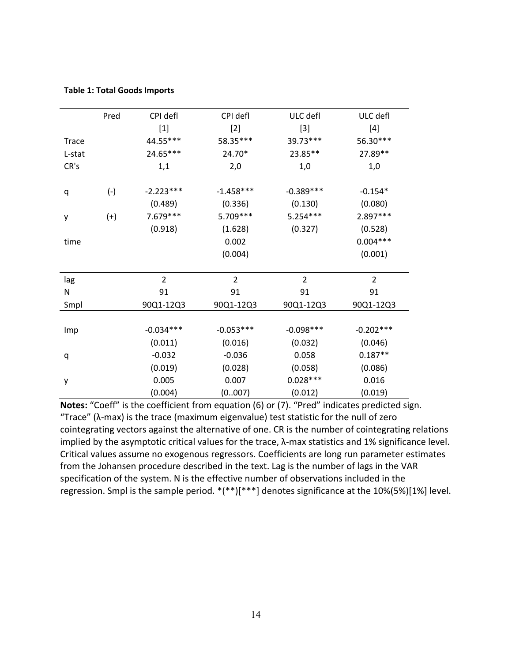|  |  |  |  | <b>Table 1: Total Goods Imports</b> |
|--|--|--|--|-------------------------------------|
|--|--|--|--|-------------------------------------|

|        | Pred  | CPI defl       | CPI defl       | ULC defl       | ULC defl       |
|--------|-------|----------------|----------------|----------------|----------------|
|        |       | $[1]$          | $[2]$          | $[3]$          | $[4]$          |
| Trace  |       | 44.55***       | 58.35***       | 39.73 ***      | 56.30***       |
| L-stat |       | 24.65***       | 24.70*         | 23.85**        | 27.89**        |
| CR's   |       | 1,1            | 2,0            | 1,0            | 1,0            |
|        |       |                |                |                |                |
| q      | $(-)$ | $-2.223***$    | $-1.458***$    | $-0.389***$    | $-0.154*$      |
|        |       | (0.489)        | (0.336)        | (0.130)        | (0.080)        |
| у      | $(+)$ | 7.679 ***      | 5.709 ***      | $5.254***$     | 2.897***       |
|        |       | (0.918)        | (1.628)        | (0.327)        | (0.528)        |
| time   |       |                | 0.002          |                | $0.004***$     |
|        |       |                | (0.004)        |                | (0.001)        |
|        |       |                |                |                |                |
| lag    |       | $\overline{2}$ | $\overline{2}$ | $\overline{2}$ | $\overline{2}$ |
| Ν      |       | 91             | 91             | 91             | 91             |
| Smpl   |       | 90Q1-12Q3      | 90Q1-12Q3      | 90Q1-12Q3      | 90Q1-12Q3      |
|        |       |                |                |                |                |
| Imp    |       | $-0.034***$    | $-0.053***$    | $-0.098***$    | $-0.202***$    |
|        |       | (0.011)        | (0.016)        | (0.032)        | (0.046)        |
| q      |       | $-0.032$       | $-0.036$       | 0.058          | $0.187**$      |
|        |       | (0.019)        | (0.028)        | (0.058)        | (0.086)        |
| у      |       | 0.005          | 0.007          | $0.028***$     | 0.016          |
|        |       | (0.004)        | (0007)         | (0.012)        | (0.019)        |

**Notes:** "Coeff" is the coefficient from equation (6) or (7). "Pred" indicates predicted sign. "Trace" (λ‐max) is the trace (maximum eigenvalue) test statistic for the null of zero cointegrating vectors against the alternative of one. CR is the number of cointegrating relations implied by the asymptotic critical values for the trace, λ-max statistics and 1% significance level. Critical values assume no exogenous regressors. Coefficients are long run parameter estimates from the Johansen procedure described in the text. Lag is the number of lags in the VAR specification of the system. N is the effective number of observations included in the regression. Smpl is the sample period. \*(\*\*)[\*\*\*] denotes significance at the 10%(5%)[1%] level.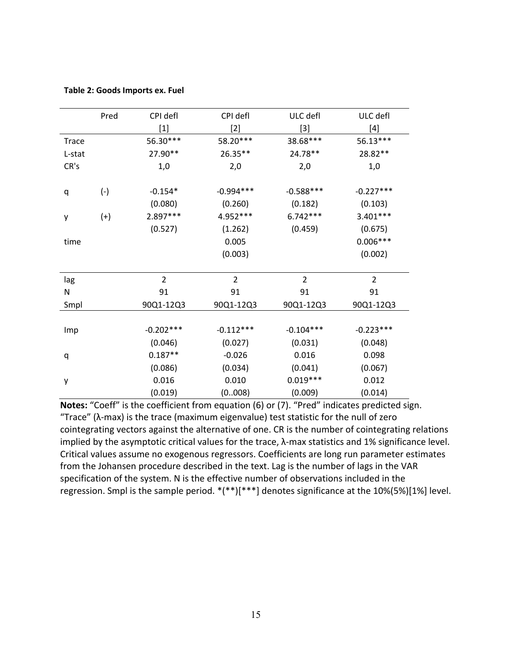|        | Pred  | CPI defl                     | CPI defl       | ULC defl       | ULC defl       |
|--------|-------|------------------------------|----------------|----------------|----------------|
|        |       | $[1]$                        | $[2]$          | $[3]$          | $[4]$          |
| Trace  |       | 56.30***                     | 58.20***       | 38.68***       | 56.13***       |
| L-stat |       | 27.90**                      | 26.35**        | 24.78**        | 28.82**        |
| CR's   |       | 1,0                          | 2,0            | 2,0            | 1,0            |
|        |       |                              |                |                |                |
| q      | $(-)$ | $-0.154*$                    | $-0.994***$    | $-0.588***$    | $-0.227***$    |
|        |       | (0.080)                      | (0.260)        | (0.182)        | (0.103)        |
| y      | $(+)$ | 2.897***                     | 4.952 ***      | $6.742***$     | $3.401***$     |
|        |       | (0.527)                      | (1.262)        | (0.459)        | (0.675)        |
| time   |       |                              | 0.005          |                | $0.006***$     |
|        |       |                              | (0.003)        |                | (0.002)        |
|        |       |                              |                |                |                |
| lag    |       | $\overline{2}$               | $\overline{2}$ | $\overline{2}$ | $\overline{2}$ |
| N      |       | 91                           | 91             | 91             | 91             |
| Smpl   |       | 90Q1-12Q3                    | 90Q1-12Q3      | 90Q1-12Q3      | 90Q1-12Q3      |
|        |       |                              |                |                |                |
| Imp    |       | $-0.202***$                  | $-0.112***$    | $-0.104***$    | $-0.223***$    |
|        |       | (0.046)                      | (0.027)        | (0.031)        | (0.048)        |
| q      |       | $0.187**$                    | $-0.026$       | 0.016          | 0.098          |
|        |       | (0.086)                      | (0.034)        | (0.041)        | (0.067)        |
| у      |       | $0.019***$<br>0.016<br>0.010 |                | 0.012          |                |
|        |       | (0.019)                      | (0008)         | (0.009)        | (0.014)        |

**Notes:** "Coeff" is the coefficient from equation (6) or (7). "Pred" indicates predicted sign. "Trace" (λ‐max) is the trace (maximum eigenvalue) test statistic for the null of zero cointegrating vectors against the alternative of one. CR is the number of cointegrating relations implied by the asymptotic critical values for the trace, λ-max statistics and 1% significance level. Critical values assume no exogenous regressors. Coefficients are long run parameter estimates from the Johansen procedure described in the text. Lag is the number of lags in the VAR specification of the system. N is the effective number of observations included in the regression. Smpl is the sample period. \*(\*\*)[\*\*\*] denotes significance at the 10%(5%)[1%] level.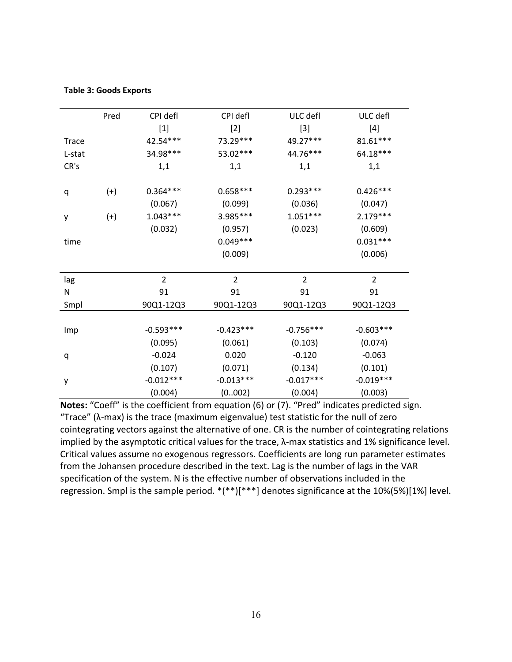|              | Pred  | CPI defl       | CPI defl       | ULC defl       | ULC defl       |
|--------------|-------|----------------|----------------|----------------|----------------|
|              |       | $[1]$          | $[2]$          | $[3]$          | $[4]$          |
| <b>Trace</b> |       | 42.54***       | 73.29***       | 49.27***       | $81.61***$     |
| L-stat       |       | 34.98***       | 53.02***       | 44.76***       | 64.18***       |
| CR's         |       | 1,1            | 1,1            | 1,1            | 1,1            |
|              |       |                |                |                |                |
| q            | $(+)$ | $0.364***$     | $0.658***$     | $0.293***$     | $0.426***$     |
|              |       | (0.067)        | (0.099)        | (0.036)        | (0.047)        |
| у            | $(+)$ | $1.043***$     | 3.985***       | $1.051***$     | $2.179***$     |
|              |       | (0.032)        | (0.957)        | (0.023)        | (0.609)        |
| time         |       |                | $0.049***$     |                | $0.031***$     |
|              |       |                | (0.009)        |                | (0.006)        |
|              |       |                |                |                |                |
| lag          |       | $\overline{2}$ | $\overline{2}$ | $\overline{2}$ | $\overline{2}$ |
| N            |       | 91             | 91             | 91             | 91             |
| Smpl         |       | 90Q1-12Q3      | 90Q1-12Q3      | 90Q1-12Q3      | 90Q1-12Q3      |
|              |       |                |                |                |                |
| Imp          |       | $-0.593***$    | $-0.423***$    | $-0.756***$    | $-0.603***$    |
|              |       | (0.095)        | (0.061)        | (0.103)        | (0.074)        |
| q            |       | $-0.024$       | 0.020          | $-0.120$       | $-0.063$       |
|              |       | (0.107)        | (0.071)        | (0.134)        | (0.101)        |
| у            |       | $-0.012***$    | $-0.013***$    | $-0.017***$    | $-0.019***$    |
|              |       | (0.004)        | (0002)         | (0.004)        | (0.003)        |

#### **Table 3: Goods Exports**

**Notes:** "Coeff" is the coefficient from equation (6) or (7). "Pred" indicates predicted sign. "Trace" (λ‐max) is the trace (maximum eigenvalue) test statistic for the null of zero cointegrating vectors against the alternative of one. CR is the number of cointegrating relations implied by the asymptotic critical values for the trace, λ-max statistics and 1% significance level. Critical values assume no exogenous regressors. Coefficients are long run parameter estimates from the Johansen procedure described in the text. Lag is the number of lags in the VAR specification of the system. N is the effective number of observations included in the regression. Smpl is the sample period. \*(\*\*)[\*\*\*] denotes significance at the 10%(5%)[1%] level.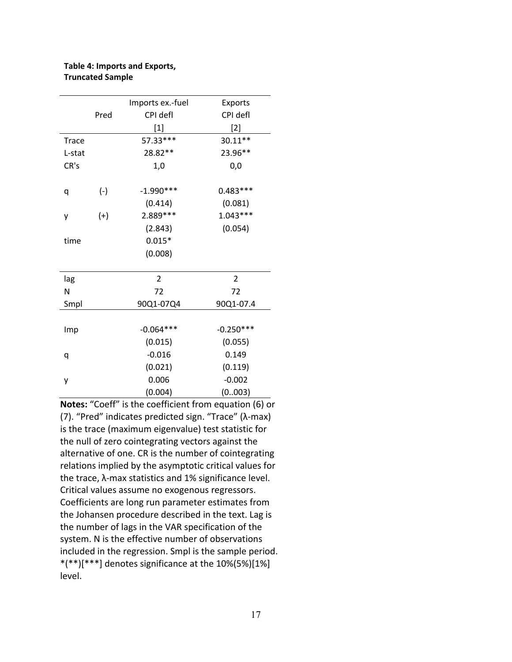#### **Table 4: Imports and Exports, Truncated Sample**

|              |       | Imports ex.-fuel | Exports        |
|--------------|-------|------------------|----------------|
|              | Pred  | CPI defl         | CPI defl       |
|              |       | $[1]$            | [2]            |
| <b>Trace</b> |       | 57.33***         | 30.11**        |
| L-stat       |       | 28.82**          | 23.96**        |
| CR's         |       | 1,0              | 0,0            |
|              |       |                  |                |
| q            | $(-)$ | $-1.990***$      | $0.483***$     |
|              |       | (0.414)          | (0.081)        |
| у            | $(+)$ | 2.889 ***        | $1.043***$     |
|              |       | (2.843)          | (0.054)        |
| time         |       | $0.015*$         |                |
|              |       | (0.008)          |                |
|              |       |                  |                |
| lag          |       | $\overline{2}$   | $\overline{2}$ |
| N            |       | 72               | 72             |
| Smpl         |       | 90Q1-07Q4        | 90Q1-07.4      |
|              |       |                  |                |
| Imp          |       | $-0.064***$      | $-0.250***$    |
|              |       | (0.015)          | (0.055)        |
| q            |       | $-0.016$         | 0.149          |
|              |       | (0.021)          | (0.119)        |
| у            |       | 0.006            | $-0.002$       |
|              |       | (0.004)          | (0.003)        |

**Notes:** "Coeff" is the coefficient from equation (6) or (7). "Pred" indicates predicted sign. "Trace" (λ‐max) is the trace (maximum eigenvalue) test statistic for the null of zero cointegrating vectors against the alternative of one. CR is the number of cointegrating relations implied by the asymptotic critical values for the trace, λ-max statistics and 1% significance level. Critical values assume no exogenous regressors. Coefficients are long run parameter estimates from the Johansen procedure described in the text. Lag is the number of lags in the VAR specification of the system. N is the effective number of observations included in the regression. Smpl is the sample period.  $*(**)[***]$  denotes significance at the 10%(5%)[1%] level.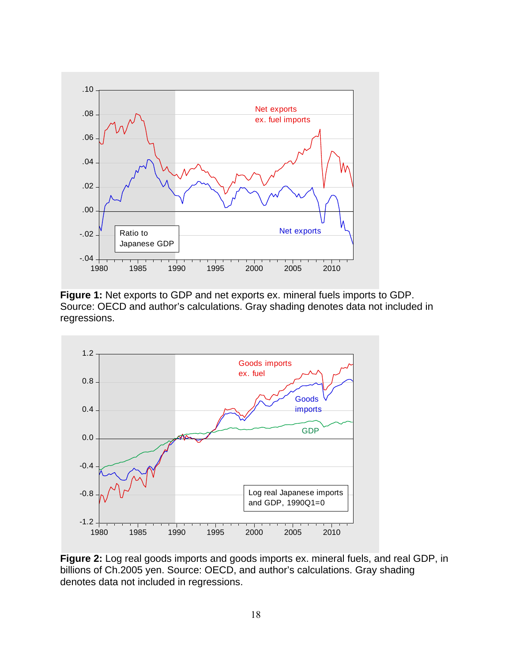

**Figure 1:** Net exports to GDP and net exports ex. mineral fuels imports to GDP. Source: OECD and author's calculations. Gray shading denotes data not included in regressions.



**Figure 2:** Log real goods imports and goods imports ex. mineral fuels, and real GDP, in billions of Ch.2005 yen. Source: OECD, and author's calculations. Gray shading denotes data not included in regressions.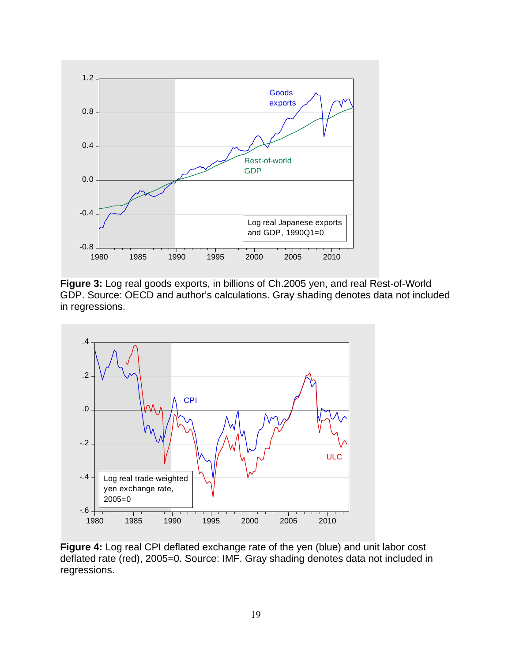

**Figure 3:** Log real goods exports, in billions of Ch.2005 yen, and real Rest-of-World GDP. Source: OECD and author's calculations. Gray shading denotes data not included in regressions.



**Figure 4:** Log real CPI deflated exchange rate of the yen (blue) and unit labor cost deflated rate (red), 2005=0. Source: IMF. Gray shading denotes data not included in regressions.